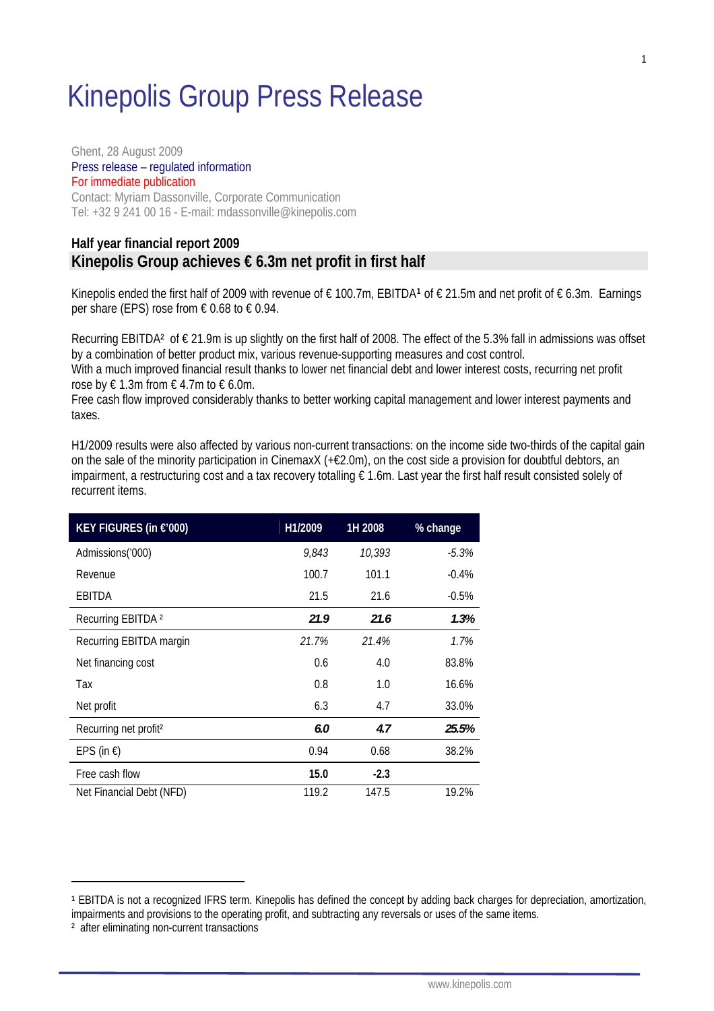# Kinepolis Group Press Release

Ghent, 28 August 2009 Press release – regulated information For immediate publication Contact: Myriam Dassonville, Corporate Communication

Tel: +32 9 241 00 16 - E-mail: [mdassonville@kinepolis.com](mailto:mdassonville@kinepolis.com) **Half year financial report 2009** 

## **Kinepolis Group achieves € 6.3m net profit in first half**

Kinepolis ended the first half of 2009 with revenue of € 100.7m, EBITDA**[1](#page-0-0)** of € 21.5m and net profit of € 6.3m. Earnings per share (EPS) rose from  $\epsilon$  0.68 to  $\epsilon$  0.94.

Recurring EBITDA<sup>2</sup> of  $\epsilon$  21.9m is up slightly on the first half of 2008. The effect of the 5.3% fall in admissions was offset by a combination of better product mix, various revenue-supporting measures and cost control.

With a much improved financial result thanks to lower net financial debt and lower interest costs, recurring net profit rose by  $\xi$  1.3m from  $\xi$  4.7m to  $\xi$  6.0m.

Free cash flow improved considerably thanks to better working capital management and lower interest payments and taxes.

H1/2009 results were also affected by various non-current transactions: on the income side two-thirds of the capital gain on the sale of the minority participation in CinemaxX (+€2.0m), on the cost side a provision for doubtful debtors, an impairment, a restructuring cost and a tax recovery totalling  $\epsilon$  1.6m. Last year the first half result consisted solely of recurrent items.

| KEY FIGURES (in €'000)            | H1/2009 | 1H 2008 | % change |
|-----------------------------------|---------|---------|----------|
| Admissions('000)                  | 9,843   | 10,393  | -5.3%    |
| Revenue                           | 100.7   | 101.1   | $-0.4%$  |
| EBITDA                            | 21.5    | 21.6    | $-0.5%$  |
| Recurring EBITDA <sup>2</sup>     | 21.9    | 21.6    | 1.3%     |
| Recurring EBITDA margin           | 21.7%   | 21.4%   | 1.7%     |
| Net financing cost                | 0.6     | 4.0     | 83.8%    |
| Тах                               | 0.8     | 1.0     | 16.6%    |
| Net profit                        | 6.3     | 4.7     | 33.0%    |
| Recurring net profit <sup>2</sup> | 6.0     | 4.7     | 25.5%    |
| EPS (in $\xi$ )                   | 0.94    | 0.68    | 38.2%    |
| Free cash flow                    | 15.0    | $-2.3$  |          |
| Net Financial Debt (NFD)          | 119.2   | 147.5   | 19.2%    |

<span id="page-0-0"></span>**<sup>1</sup>** EBITDA is not a recognized IFRS term. Kinepolis has defined the concept by adding back charges for depreciation, amortization, impairments and provisions to the operating profit, and subtracting any reversals or uses of the same items.

<sup>&</sup>lt;sup>2</sup> after eliminating non-current transactions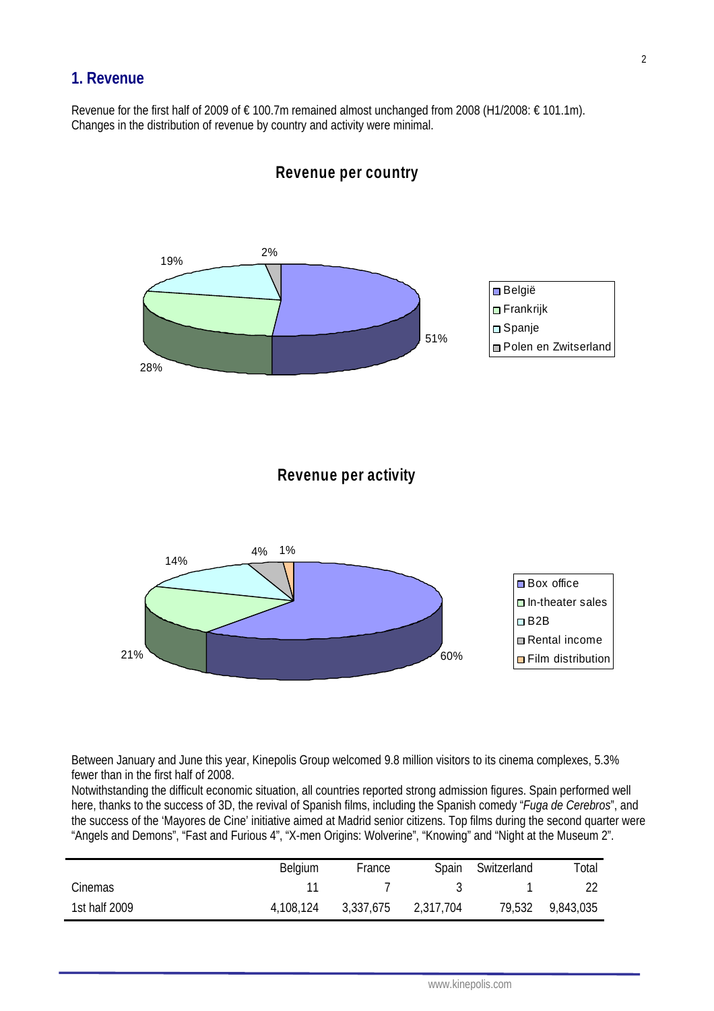## **1. Revenue**

Revenue for the first half of 2009 of € 100.7m remained almost unchanged from 2008 (H1/2008: € 101.1m). Changes in the distribution of revenue by country and activity were minimal.



**Revenue per country**

Between January and June this year, Kinepolis Group welcomed 9.8 million visitors to its cinema complexes, 5.3% fewer than in the first half of 2008.

Notwithstanding the difficult economic situation, all countries reported strong admission figures. Spain performed well here, thanks to the success of 3D, the revival of Spanish films, including the Spanish comedy "*Fuga de Cerebros*", and the success of the 'Mayores de Cine' initiative aimed at Madrid senior citizens. Top films during the second quarter were "Angels and Demons", "Fast and Furious 4", "X-men Origins: Wolverine", "Knowing" and "Night at the Museum 2".

|               | Belgium   | France    | Spain     | Switzerland | Total     |
|---------------|-----------|-----------|-----------|-------------|-----------|
| Cinemas       |           |           |           |             |           |
| 1st half 2009 | 4,108,124 | 3,337,675 | 2,317,704 | 79,532      | 9,843,035 |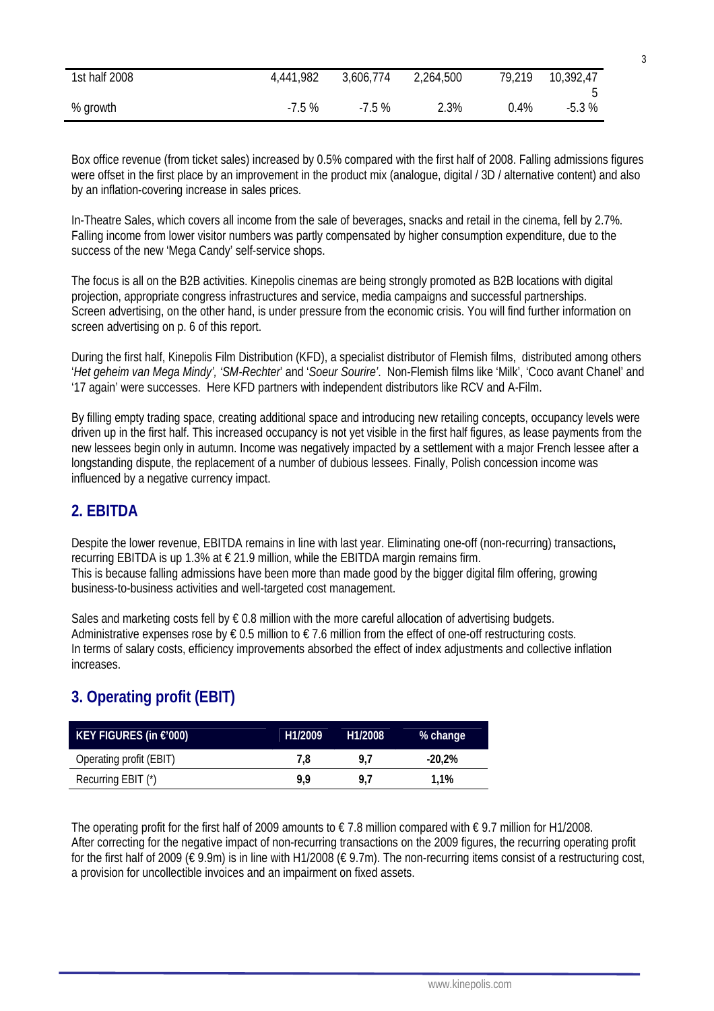| 1st half 2008 | 4,441,982 | 3,606,774 | 2,264,500 | 79,219  | 10,392,47 |
|---------------|-----------|-----------|-----------|---------|-----------|
| % growth      | $-7.5%$   | $-7.5%$   | 2.3%      | $0.4\%$ | $-5.3%$   |

Box office revenue (from ticket sales) increased by 0.5% compared with the first half of 2008. Falling admissions figures were offset in the first place by an improvement in the product mix (analogue, digital / 3D / alternative content) and also by an inflation-covering increase in sales prices.

In-Theatre Sales, which covers all income from the sale of beverages, snacks and retail in the cinema, fell by 2.7%. Falling income from lower visitor numbers was partly compensated by higher consumption expenditure, due to the success of the new 'Mega Candy' self-service shops.

The focus is all on the B2B activities. Kinepolis cinemas are being strongly promoted as B2B locations with digital projection, appropriate congress infrastructures and service, media campaigns and successful partnerships. Screen advertising, on the other hand, is under pressure from the economic crisis. You will find further information on screen advertising on p. 6 of this report.

During the first half, Kinepolis Film Distribution (KFD), a specialist distributor of Flemish films, distributed among others '*Het geheim van Mega Mindy', 'SM-Rechter*' and '*Soeur Sourire'*. Non-Flemish films like 'Milk', 'Coco avant Chanel' and '17 again' were successes. Here KFD partners with independent distributors like RCV and A-Film.

By filling empty trading space, creating additional space and introducing new retailing concepts, occupancy levels were driven up in the first half. This increased occupancy is not yet visible in the first half figures, as lease payments from the new lessees begin only in autumn. Income was negatively impacted by a settlement with a major French lessee after a longstanding dispute, the replacement of a number of dubious lessees. Finally, Polish concession income was influenced by a negative currency impact.

## **2. EBITDA**

Despite the lower revenue, EBITDA remains in line with last year. Eliminating one-off (non-recurring) transactions**,**  recurring EBITDA is up 1.3% at  $\epsilon$  21.9 million, while the EBITDA margin remains firm. This is because falling admissions have been more than made good by the bigger digital film offering, growing business-to-business activities and well-targeted cost management.

Sales and marketing costs fell by  $\epsilon$  0.8 million with the more careful allocation of advertising budgets. Administrative expenses rose by  $\epsilon$  0.5 million to  $\epsilon$  7.6 million from the effect of one-off restructuring costs. In terms of salary costs, efficiency improvements absorbed the effect of index adjustments and collective inflation increases.

## **3. Operating profit (EBIT)**

| KEY FIGURES (in $\epsilon$ '000) | H1/2009 | H <sub>1</sub> /2008 | % change  |
|----------------------------------|---------|----------------------|-----------|
| Operating profit (EBIT)          | 7.8     | 97                   | $-20.2\%$ |
| Recurring EBIT (*)               | 9.9     | <b>97</b>            | 1.1%      |

The operating profit for the first half of 2009 amounts to  $\epsilon$  7.8 million compared with  $\epsilon$  9.7 million for H1/2008. After correcting for the negative impact of non-recurring transactions on the 2009 figures, the recurring operating profit for the first half of 2009 (€ 9.9m) is in line with H1/2008 (€ 9.7m). The non-recurring items consist of a restructuring cost, a provision for uncollectible invoices and an impairment on fixed assets.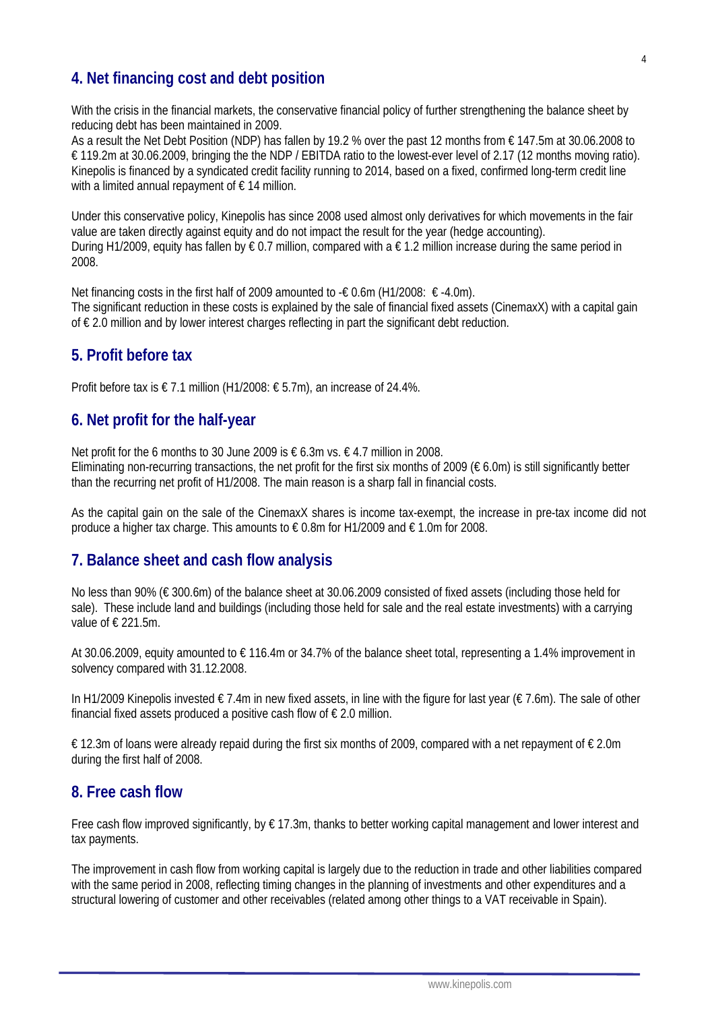## **4. Net financing cost and debt position**

With the crisis in the financial markets, the conservative financial policy of further strengthening the balance sheet by reducing debt has been maintained in 2009.

As a result the Net Debt Position (NDP) has fallen by 19.2 % over the past 12 months from € 147.5m at 30.06.2008 to € 119.2m at 30.06.2009, bringing the the NDP / EBITDA ratio to the lowest-ever level of 2.17 (12 months moving ratio). Kinepolis is financed by a syndicated credit facility running to 2014, based on a fixed, confirmed long-term credit line with a limited annual repayment of  $\epsilon$  14 million.

Under this conservative policy, Kinepolis has since 2008 used almost only derivatives for which movements in the fair value are taken directly against equity and do not impact the result for the year (hedge accounting). During H1/2009, equity has fallen by  $\epsilon$  0.7 million, compared with a  $\epsilon$  1.2 million increase during the same period in 2008.

Net financing costs in the first half of 2009 amounted to -€ 0.6m (H1/2008:  $\epsilon$  -4.0m). The significant reduction in these costs is explained by the sale of financial fixed assets (CinemaxX) with a capital gain of € 2.0 million and by lower interest charges reflecting in part the significant debt reduction.

## **5. Profit before tax**

Profit before tax is  $\epsilon$  7.1 million (H1/2008:  $\epsilon$  5.7m), an increase of 24.4%.

## **6. Net profit for the half-year**

Net profit for the 6 months to 30 June 2009 is € 6.3m vs.  $€$  4.7 million in 2008. Eliminating non-recurring transactions, the net profit for the first six months of 2009 ( $\epsilon$  6.0m) is still significantly better than the recurring net profit of H1/2008. The main reason is a sharp fall in financial costs.

As the capital gain on the sale of the CinemaxX shares is income tax-exempt, the increase in pre-tax income did not produce a higher tax charge. This amounts to  $\epsilon$  0.8m for H1/2009 and  $\epsilon$  1.0m for 2008.

### **7. Balance sheet and cash flow analysis**

No less than 90% (€ 300.6m) of the balance sheet at 30.06.2009 consisted of fixed assets (including those held for sale). These include land and buildings (including those held for sale and the real estate investments) with a carrying value of € 221.5m.

At 30.06.2009, equity amounted to € 116.4m or 34.7% of the balance sheet total, representing a 1.4% improvement in solvency compared with 31.12.2008.

In H1/2009 Kinepolis invested  $\epsilon$  7.4m in new fixed assets, in line with the figure for last year ( $\epsilon$  7.6m). The sale of other financial fixed assets produced a positive cash flow of  $\epsilon$  2.0 million.

€ 12.3m of loans were already repaid during the first six months of 2009, compared with a net repayment of € 2.0m during the first half of 2008.

## **8. Free cash flow**

Free cash flow improved significantly, by € 17.3m, thanks to better working capital management and lower interest and tax payments.

The improvement in cash flow from working capital is largely due to the reduction in trade and other liabilities compared with the same period in 2008, reflecting timing changes in the planning of investments and other expenditures and a structural lowering of customer and other receivables (related among other things to a VAT receivable in Spain).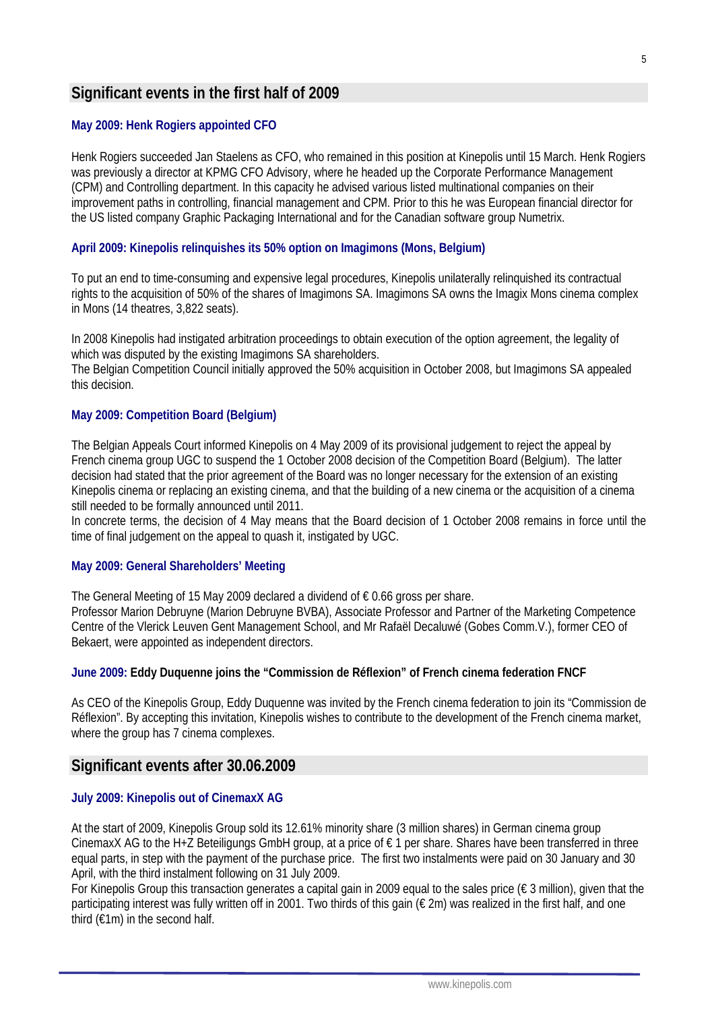## **Significant events in the first half of 2009**

#### **May 2009: Henk Rogiers appointed CFO**

Henk Rogiers succeeded Jan Staelens as CFO, who remained in this position at Kinepolis until 15 March. Henk Rogiers was previously a director at KPMG CFO Advisory, where he headed up the Corporate Performance Management (CPM) and Controlling department. In this capacity he advised various listed multinational companies on their improvement paths in controlling, financial management and CPM. Prior to this he was European financial director for the US listed company Graphic Packaging International and for the Canadian software group Numetrix.

#### **April 2009: Kinepolis relinquishes its 50% option on Imagimons (Mons, Belgium)**

To put an end to time-consuming and expensive legal procedures, Kinepolis unilaterally relinquished its contractual rights to the acquisition of 50% of the shares of Imagimons SA. Imagimons SA owns the Imagix Mons cinema complex in Mons (14 theatres, 3,822 seats).

In 2008 Kinepolis had instigated arbitration proceedings to obtain execution of the option agreement, the legality of which was disputed by the existing Imagimons SA shareholders.

The Belgian Competition Council initially approved the 50% acquisition in October 2008, but Imagimons SA appealed this decision.

#### **May 2009: Competition Board (Belgium)**

The Belgian Appeals Court informed Kinepolis on 4 May 2009 of its provisional judgement to reject the appeal by French cinema group UGC to suspend the 1 October 2008 decision of the Competition Board (Belgium). The latter decision had stated that the prior agreement of the Board was no longer necessary for the extension of an existing Kinepolis cinema or replacing an existing cinema, and that the building of a new cinema or the acquisition of a cinema still needed to be formally announced until 2011.

In concrete terms, the decision of 4 May means that the Board decision of 1 October 2008 remains in force until the time of final judgement on the appeal to quash it, instigated by UGC.

#### **May 2009: General Shareholders' Meeting**

The General Meeting of 15 May 2009 declared a dividend of  $\epsilon$  0.66 gross per share. Professor Marion Debruyne (Marion Debruyne BVBA), Associate Professor and Partner of the Marketing Competence Centre of the Vlerick Leuven Gent Management School, and Mr Rafaël Decaluwé (Gobes Comm.V.), former CEO of Bekaert, were appointed as independent directors.

#### **June 2009: Eddy Duquenne joins the "Commission de Réflexion" of French cinema federation FNCF**

As CEO of the Kinepolis Group, Eddy Duquenne was invited by the French cinema federation to join its "Commission de Réflexion". By accepting this invitation, Kinepolis wishes to contribute to the development of the French cinema market, where the group has 7 cinema complexes.

#### **Significant events after 30.06.2009**

#### **July 2009: Kinepolis out of CinemaxX AG**

At the start of 2009, Kinepolis Group sold its 12.61% minority share (3 million shares) in German cinema group CinemaxX AG to the H+Z Beteiligungs GmbH group, at a price of € 1 per share. Shares have been transferred in three equal parts, in step with the payment of the purchase price. The first two instalments were paid on 30 January and 30 April, with the third instalment following on 31 July 2009.

For Kinepolis Group this transaction generates a capital gain in 2009 equal to the sales price ( $\epsilon$  3 million), given that the participating interest was fully written off in 2001. Two thirds of this gain  $(\epsilon 2m)$  was realized in the first half, and one third  $(£1m)$  in the second half.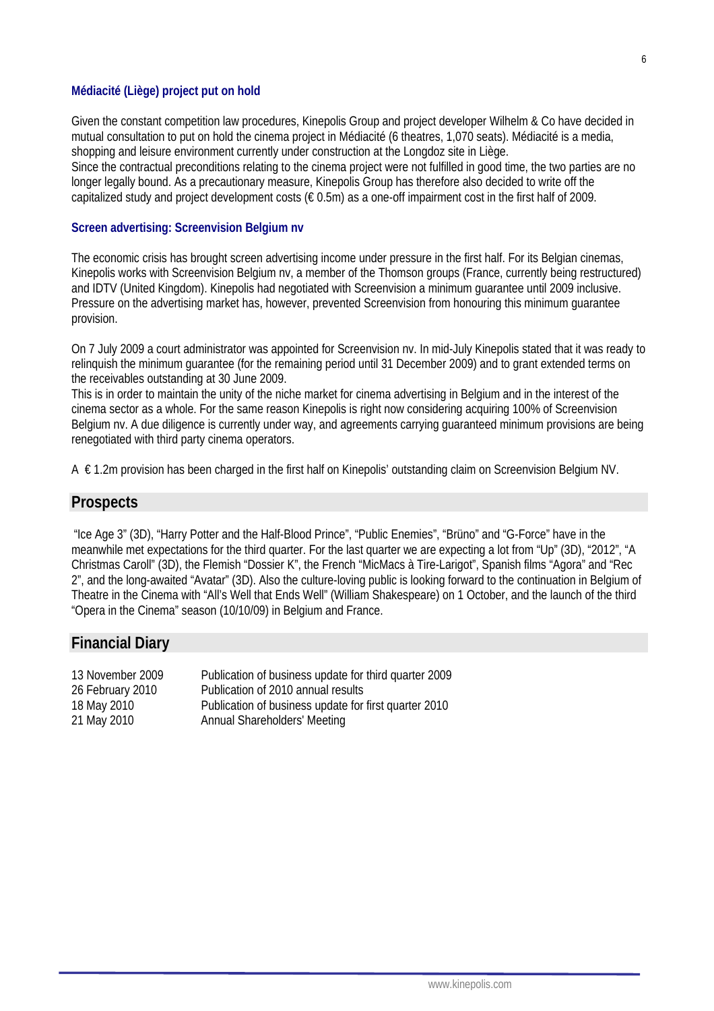#### **Médiacité (Liège) project put on hold**

Given the constant competition law procedures, Kinepolis Group and project developer Wilhelm & Co have decided in mutual consultation to put on hold the cinema project in Médiacité (6 theatres, 1,070 seats). Médiacité is a media, shopping and leisure environment currently under construction at the Longdoz site in Liège. Since the contractual preconditions relating to the cinema project were not fulfilled in good time, the two parties are no longer legally bound. As a precautionary measure, Kinepolis Group has therefore also decided to write off the capitalized study and project development costs ( $\epsilon$  0.5m) as a one-off impairment cost in the first half of 2009.

#### **Screen advertising: Screenvision Belgium nv**

The economic crisis has brought screen advertising income under pressure in the first half. For its Belgian cinemas, Kinepolis works with Screenvision Belgium nv, a member of the Thomson groups (France, currently being restructured) and IDTV (United Kingdom). Kinepolis had negotiated with Screenvision a minimum guarantee until 2009 inclusive. Pressure on the advertising market has, however, prevented Screenvision from honouring this minimum guarantee provision.

On 7 July 2009 a court administrator was appointed for Screenvision nv. In mid-July Kinepolis stated that it was ready to relinquish the minimum guarantee (for the remaining period until 31 December 2009) and to grant extended terms on the receivables outstanding at 30 June 2009.

This is in order to maintain the unity of the niche market for cinema advertising in Belgium and in the interest of the cinema sector as a whole. For the same reason Kinepolis is right now considering acquiring 100% of Screenvision Belgium nv. A due diligence is currently under way, and agreements carrying guaranteed minimum provisions are being renegotiated with third party cinema operators.

A € 1.2m provision has been charged in the first half on Kinepolis' outstanding claim on Screenvision Belgium NV.

#### **Prospects**

"Ice Age 3" (3D), "Harry Potter and the Half-Blood Prince", "Public Enemies", "Brüno" and "G-Force" have in the meanwhile met expectations for the third quarter. For the last quarter we are expecting a lot from "Up" (3D), "2012", "A Christmas Caroll" (3D), the Flemish "Dossier K", the French "MicMacs à Tire-Larigot", Spanish films "Agora" and "Rec 2", and the long-awaited "Avatar" (3D). Also the culture-loving public is looking forward to the continuation in Belgium of Theatre in the Cinema with "All's Well that Ends Well" (William Shakespeare) on 1 October, and the launch of the third "Opera in the Cinema" season (10/10/09) in Belgium and France.

#### **Financial Diary**

| 13 November 2009 | Publication of business update for third quarter 2009 |
|------------------|-------------------------------------------------------|
| 26 February 2010 | Publication of 2010 annual results                    |
| 18 May 2010      | Publication of business update for first quarter 2010 |
| 21 May 2010      | Annual Shareholders' Meeting                          |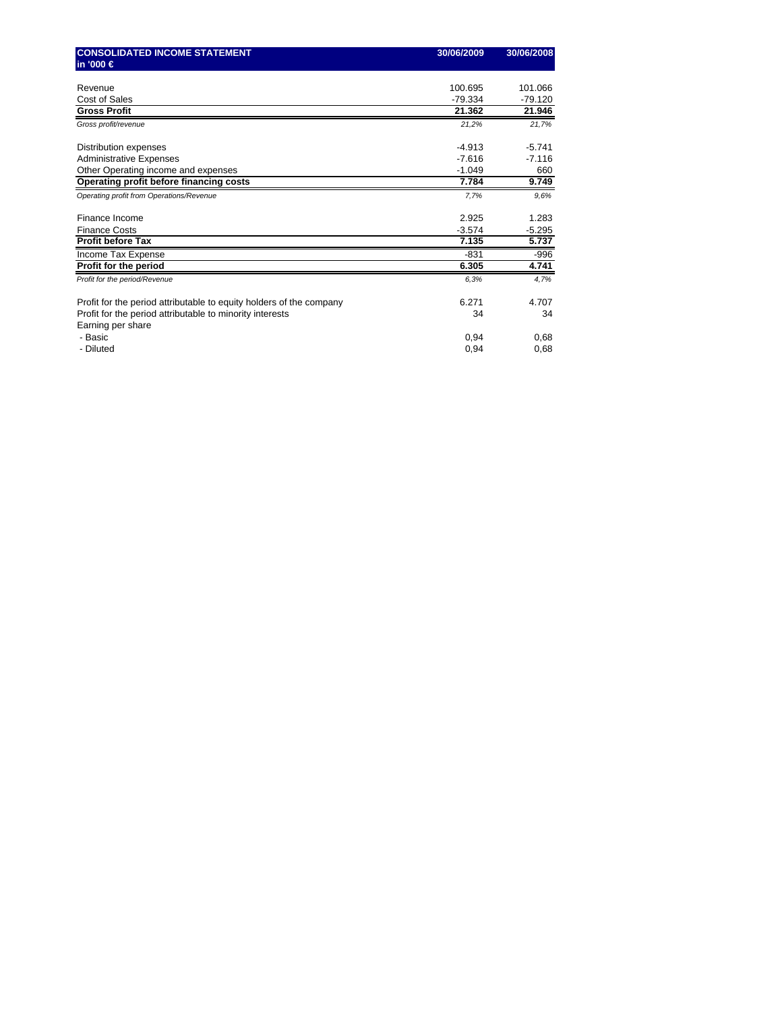| <b>CONSOLIDATED INCOME STATEMENT</b>                                          | 30/06/2009 | 30/06/2008 |
|-------------------------------------------------------------------------------|------------|------------|
| in '000 €                                                                     |            |            |
|                                                                               |            |            |
| Revenue                                                                       | 100.695    | 101.066    |
| Cost of Sales                                                                 | $-79.334$  | $-79.120$  |
| <b>Gross Profit</b>                                                           | 21.362     | 21.946     |
| Gross profit/revenue                                                          | 21,2%      | 21.7%      |
| Distribution expenses                                                         | $-4.913$   | $-5.741$   |
| <b>Administrative Expenses</b>                                                | $-7.616$   | $-7.116$   |
| Other Operating income and expenses                                           | $-1.049$   | 660        |
| Operating profit before financing costs                                       | 7.784      | 9.749      |
| Operating profit from Operations/Revenue                                      | 7,7%       | 9.6%       |
| Finance Income                                                                | 2.925      | 1.283      |
| <b>Finance Costs</b>                                                          | $-3.574$   | $-5.295$   |
| <b>Profit before Tax</b>                                                      | 7.135      | 5.737      |
| Income Tax Expense                                                            | $-831$     | $-996$     |
| Profit for the period                                                         | 6.305      | 4.741      |
| Profit for the period/Revenue                                                 | 6,3%       | 4,7%       |
| Profit for the period attributable to equity holders of the company           | 6.271      | 4.707      |
| Profit for the period attributable to minority interests<br>Earning per share | 34         | 34         |
| - Basic                                                                       | 0,94       | 0,68       |
| - Diluted                                                                     | 0,94       | 0,68       |
|                                                                               |            |            |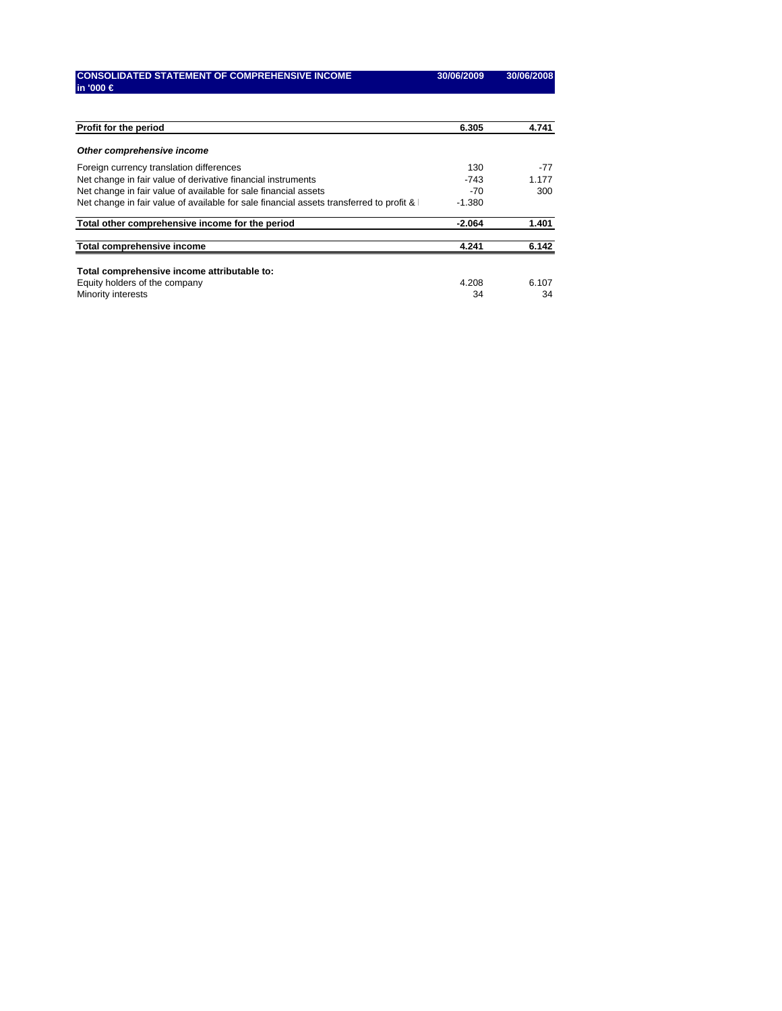| <b>CONSOLIDATED STATEMENT OF COMPREHENSIVE INCOME</b> | 30/06/2009 |
|-------------------------------------------------------|------------|
| lin '000 €                                            |            |

| Profit for the period                                                                     | 6.305    | 4.741 |
|-------------------------------------------------------------------------------------------|----------|-------|
| Other comprehensive income                                                                |          |       |
| Foreign currency translation differences                                                  | 130      | -77   |
| Net change in fair value of derivative financial instruments                              | $-743$   | 1.177 |
| Net change in fair value of available for sale financial assets                           | $-70$    | 300   |
| Net change in fair value of available for sale financial assets transferred to profit & I | $-1.380$ |       |
| Total other comprehensive income for the period                                           | $-2.064$ | 1.401 |
| Total comprehensive income                                                                | 4.241    | 6.142 |
| Total comprehensive income attributable to:                                               |          |       |
| Equity holders of the company                                                             | 4.208    | 6.107 |
| <b>Minority interests</b>                                                                 | 34       | 34    |

**CONSOLIDATED STATEMENT OF COMPREHENSIVE INCOME 30/06/2009 30/06/2008**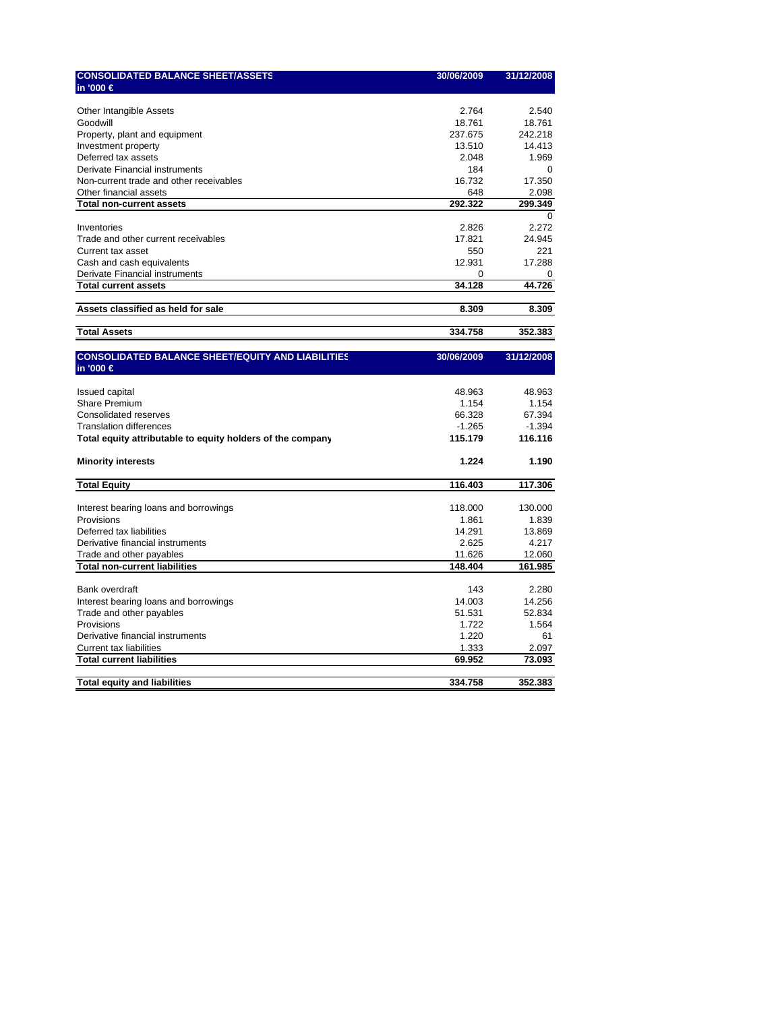| <b>CONSOLIDATED BALANCE SHEET/ASSETS</b>                   | 30/06/2009 | 31/12/2008 |
|------------------------------------------------------------|------------|------------|
| in '000 €                                                  |            |            |
|                                                            |            |            |
| Other Intangible Assets                                    | 2.764      | 2.540      |
| Goodwill                                                   | 18.761     | 18.761     |
| Property, plant and equipment                              | 237.675    | 242.218    |
| Investment property                                        | 13.510     | 14.413     |
| Deferred tax assets                                        | 2.048      | 1.969      |
| Derivate Financial instruments                             | 184        | $\Omega$   |
| Non-current trade and other receivables                    | 16.732     | 17.350     |
| Other financial assets                                     | 648        | 2.098      |
| <b>Total non-current assets</b>                            | 292.322    | 299.349    |
|                                                            |            | $\Omega$   |
| Inventories                                                | 2.826      | 2.272      |
| Trade and other current receivables                        | 17.821     | 24.945     |
| Current tax asset                                          | 550        | 221        |
| Cash and cash equivalents                                  | 12.931     | 17.288     |
| Derivate Financial instruments                             | $\Omega$   | $\Omega$   |
| <b>Total current assets</b>                                | 34.128     | 44.726     |
|                                                            |            |            |
| Assets classified as held for sale                         | 8.309      | 8.309      |
| <b>Total Assets</b>                                        | 334.758    | 352.383    |
|                                                            |            |            |
| <b>CONSOLIDATED BALANCE SHEET/EQUITY AND LIABILITIES</b>   | 30/06/2009 | 31/12/2008 |
| in '000 €                                                  |            |            |
|                                                            |            |            |
| <b>Issued capital</b>                                      | 48.963     | 48.963     |
| <b>Share Premium</b>                                       | 1.154      | 1.154      |
| Consolidated reserves                                      | 66.328     | 67.394     |
| <b>Translation differences</b>                             | $-1.265$   | $-1.394$   |
| Total equity attributable to equity holders of the company | 115.179    | 116.116    |
|                                                            |            |            |
| <b>Minority interests</b>                                  | 1.224      | 1.190      |
|                                                            |            |            |
| <b>Total Equity</b>                                        | 116.403    | 117.306    |
|                                                            |            |            |
| Interest bearing loans and borrowings                      | 118.000    | 130.000    |
| Provisions                                                 | 1.861      | 1.839      |
| Deferred tax liabilities                                   | 14.291     | 13.869     |
| Derivative financial instruments                           | 2.625      | 4.217      |
| Trade and other payables                                   | 11.626     | 12.060     |
| <b>Total non-current liabilities</b>                       | 148.404    | 161.985    |
|                                                            |            |            |
| <b>Bank overdraft</b>                                      | 143        | 2.280      |
| Interest bearing loans and borrowings                      | 14.003     | 14.256     |
| Trade and other payables                                   | 51.531     | 52.834     |
| Provisions                                                 | 1.722      | 1.564      |
| Derivative financial instruments                           | 1.220      | 61         |
| Current tax liabilities                                    | 1.333      | 2.097      |
| <b>Total current liabilities</b>                           | 69.952     | 73.093     |
|                                                            |            |            |
| <b>Total equity and liabilities</b>                        | 334.758    | 352.383    |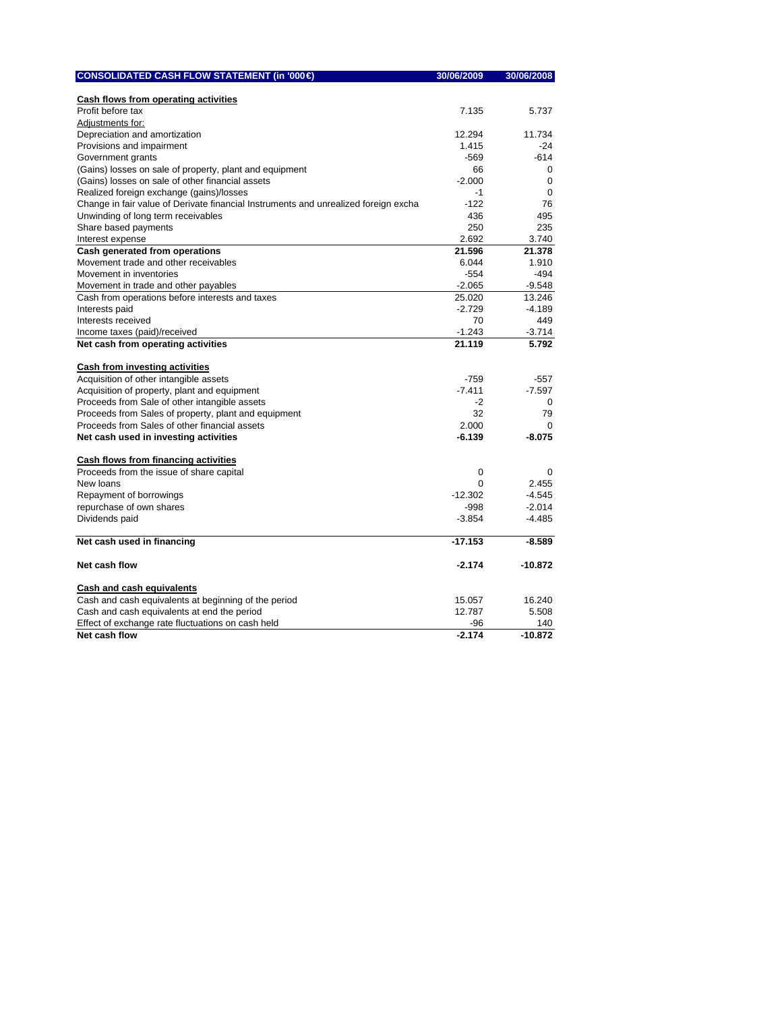| CONSOLIDATED CASH FLOW STATEMENT (in '000 €                                         | 30/06/2009 | 30/06/2008  |
|-------------------------------------------------------------------------------------|------------|-------------|
|                                                                                     |            |             |
| Cash flows from operating activities                                                |            |             |
| Profit before tax                                                                   | 7.135      | 5.737       |
| Adjustments for:                                                                    |            |             |
| Depreciation and amortization                                                       | 12.294     | 11.734      |
| Provisions and impairment                                                           | 1.415      | $-24$       |
| Government grants                                                                   | $-569$     | $-614$      |
| (Gains) losses on sale of property, plant and equipment                             | 66         | $\Omega$    |
| (Gains) losses on sale of other financial assets                                    | $-2.000$   | $\Omega$    |
| Realized foreign exchange (gains)/losses                                            | $-1$       | $\mathbf 0$ |
| Change in fair value of Derivate financial Instruments and unrealized foreign excha | $-122$     | 76          |
| Unwinding of long term receivables                                                  | 436        | 495         |
| Share based payments                                                                | 250        | 235         |
| Interest expense                                                                    | 2.692      | 3.740       |
| Cash generated from operations                                                      | 21.596     | 21.378      |
| Movement trade and other receivables                                                | 6.044      | 1.910       |
| Movement in inventories                                                             | $-554$     | $-494$      |
| Movement in trade and other payables                                                | $-2.065$   | $-9.548$    |
| Cash from operations before interests and taxes                                     | 25.020     | 13.246      |
| Interests paid                                                                      | $-2.729$   | $-4.189$    |
| Interests received                                                                  | 70         | 449         |
| Income taxes (paid)/received                                                        | $-1.243$   | -3.714      |
| Net cash from operating activities                                                  | 21.119     | 5.792       |
|                                                                                     |            |             |
| Cash from investing activities                                                      |            |             |
| Acquisition of other intangible assets                                              | $-759$     | $-557$      |
| Acquisition of property, plant and equipment                                        | $-7.411$   | $-7.597$    |
| Proceeds from Sale of other intangible assets                                       | $-2$       | $\Omega$    |
| Proceeds from Sales of property, plant and equipment                                | 32         | 79          |
| Proceeds from Sales of other financial assets                                       | 2.000      | $\Omega$    |
| Net cash used in investing activities                                               | $-6.139$   | $-8.075$    |
|                                                                                     |            |             |
| Cash flows from financing activities                                                |            |             |
| Proceeds from the issue of share capital                                            | 0          | $\Omega$    |
| New loans                                                                           | $\Omega$   | 2.455       |
| Repayment of borrowings                                                             | $-12.302$  | $-4.545$    |
| repurchase of own shares                                                            | $-998$     | $-2.014$    |
| Dividends paid                                                                      | $-3.854$   | $-4.485$    |
|                                                                                     |            |             |
| Net cash used in financing                                                          | $-17.153$  | $-8.589$    |
|                                                                                     |            |             |
| Net cash flow                                                                       | $-2.174$   | $-10.872$   |
| Cash and cash equivalents                                                           |            |             |
| Cash and cash equivalents at beginning of the period                                | 15.057     | 16.240      |
| Cash and cash equivalents at end the period                                         | 12.787     | 5.508       |
| Effect of exchange rate fluctuations on cash held                                   | -96        | 140         |
| Net cash flow                                                                       | $-2.174$   | $-10.872$   |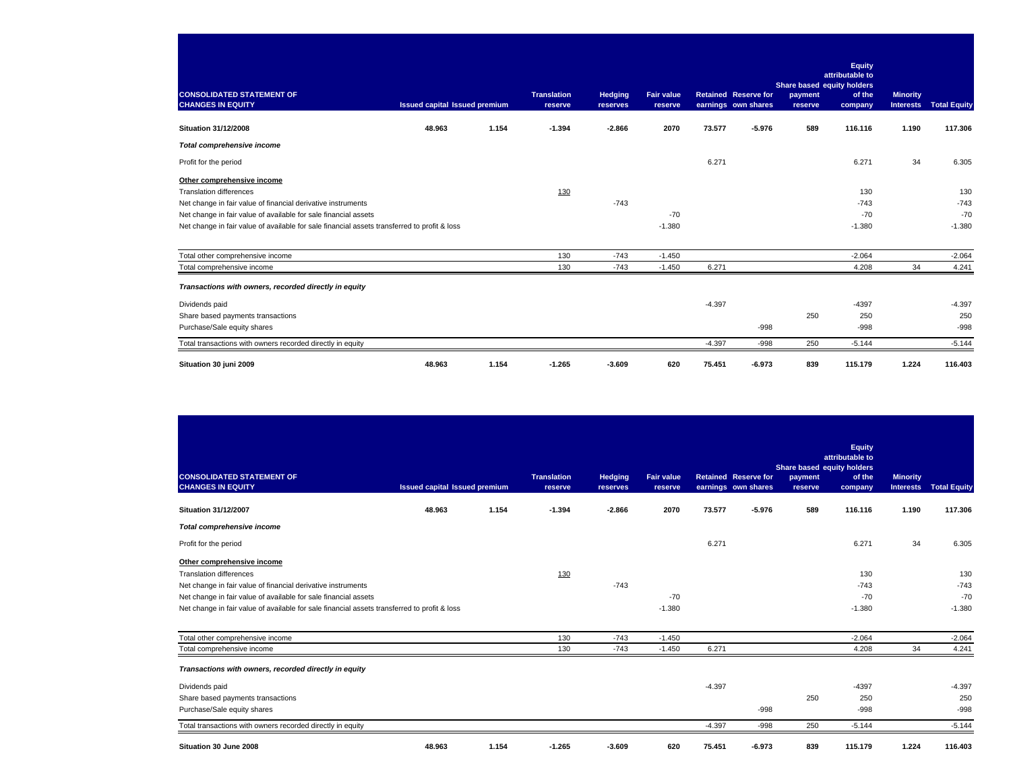| <b>CONSOLIDATED STATEMENT OF</b>                                                             |                                      |       | <b>Translation</b> | <b>Hedging</b> | <b>Fair value</b> |          | <b>Retained Reserve for</b> | Share based equity holders<br>payment | Equity<br>attributable to<br>of the | <b>Minority</b>  |                     |
|----------------------------------------------------------------------------------------------|--------------------------------------|-------|--------------------|----------------|-------------------|----------|-----------------------------|---------------------------------------|-------------------------------------|------------------|---------------------|
| <b>CHANGES IN EQUITY</b>                                                                     | <b>Issued capital Issued premium</b> |       | reserve            | reserves       | reserve           |          | earnings own shares         | reserve                               | company                             | <b>Interests</b> | <b>Total Equity</b> |
| <b>Situation 31/12/2008</b>                                                                  | 48.963                               | 1.154 | $-1.394$           | $-2.866$       | 2070              | 73.577   | $-5.976$                    | 589                                   | 116.116                             | 1.190            | 117.306             |
| <b>Total comprehensive income</b>                                                            |                                      |       |                    |                |                   |          |                             |                                       |                                     |                  |                     |
| Profit for the period                                                                        |                                      |       |                    |                |                   | 6.271    |                             |                                       | 6.271                               | 34               | 6.305               |
| Other comprehensive income                                                                   |                                      |       |                    |                |                   |          |                             |                                       |                                     |                  |                     |
| <b>Translation differences</b>                                                               |                                      |       | 130                |                |                   |          |                             |                                       | 130                                 |                  | 130                 |
| Net change in fair value of financial derivative instruments                                 |                                      |       |                    | $-743$         |                   |          |                             |                                       | $-743$                              |                  | $-743$              |
| Net change in fair value of available for sale financial assets                              |                                      |       |                    |                | $-70$             |          |                             |                                       | $-70$                               |                  | $-70$               |
| Net change in fair value of available for sale financial assets transferred to profit & loss |                                      |       |                    |                | $-1.380$          |          |                             |                                       | $-1.380$                            |                  | $-1.380$            |
| Total other comprehensive income                                                             |                                      |       | 130                | $-743$         | $-1.450$          |          |                             |                                       | $-2.064$                            |                  | $-2.064$            |
| Total comprehensive income                                                                   |                                      |       | 130                | $-743$         | $-1.450$          | 6.271    |                             |                                       | 4.208                               | 34               | 4.241               |
| Transactions with owners, recorded directly in equity                                        |                                      |       |                    |                |                   |          |                             |                                       |                                     |                  |                     |
| Dividends paid                                                                               |                                      |       |                    |                |                   | $-4.397$ |                             |                                       | $-4397$                             |                  | $-4.397$            |
| Share based payments transactions                                                            |                                      |       |                    |                |                   |          |                             | 250                                   | 250                                 |                  | 250                 |
| Purchase/Sale equity shares                                                                  |                                      |       |                    |                |                   |          | $-998$                      |                                       | $-998$                              |                  | $-998$              |
| Total transactions with owners recorded directly in equity                                   |                                      |       |                    |                |                   | $-4.397$ | $-998$                      | 250                                   | $-5.144$                            |                  | $-5.144$            |
| Situation 30 juni 2009                                                                       | 48.963                               | 1.154 | $-1.265$           | $-3.609$       | 620               | 75.451   | $-6.973$                    | 839                                   | 115.179                             | 1.224            | 116.403             |

| <b>CONSOLIDATED STATEMENT OF</b><br><b>CHANGES IN EQUITY</b>                                 | <b>Issued capital Issued premium</b> |       | <b>Translation</b><br>reserve | <b>Hedging</b><br>reserves | <b>Fair value</b><br>reserve |          | <b>Retained Reserve for</b><br>earnings own shares | Share based equity holders<br>payment<br>reserve | <b>Equity</b><br>attributable to<br>of the<br>company | <b>Minority</b><br><b>Interests</b> | <b>Total Equity</b> |
|----------------------------------------------------------------------------------------------|--------------------------------------|-------|-------------------------------|----------------------------|------------------------------|----------|----------------------------------------------------|--------------------------------------------------|-------------------------------------------------------|-------------------------------------|---------------------|
| <b>Situation 31/12/2007</b>                                                                  | 48.963                               | 1.154 | $-1.394$                      | $-2.866$                   | 2070                         | 73.577   | $-5.976$                                           | 589                                              | 116.116                                               | 1.190                               | 117.306             |
| Total comprehensive income                                                                   |                                      |       |                               |                            |                              |          |                                                    |                                                  |                                                       |                                     |                     |
| Profit for the period                                                                        |                                      |       |                               |                            |                              | 6.271    |                                                    |                                                  | 6.271                                                 | 34                                  | 6.305               |
| Other comprehensive income                                                                   |                                      |       |                               |                            |                              |          |                                                    |                                                  |                                                       |                                     |                     |
| <b>Translation differences</b>                                                               |                                      |       | 130                           |                            |                              |          |                                                    |                                                  | 130                                                   |                                     | 130                 |
| Net change in fair value of financial derivative instruments                                 |                                      |       |                               | $-743$                     |                              |          |                                                    |                                                  | $-743$                                                |                                     | $-743$              |
| Net change in fair value of available for sale financial assets                              |                                      |       |                               |                            | $-70$                        |          |                                                    |                                                  | $-70$                                                 |                                     | $-70$               |
| Net change in fair value of available for sale financial assets transferred to profit & loss |                                      |       |                               |                            | $-1.380$                     |          |                                                    |                                                  | $-1.380$                                              |                                     | $-1.380$            |
| Total other comprehensive income                                                             |                                      |       | 130                           | $-743$                     | $-1.450$                     |          |                                                    |                                                  | $-2.064$                                              |                                     | $-2.064$            |
| Total comprehensive income                                                                   |                                      |       | 130                           | $-743$                     | $-1.450$                     | 6.271    |                                                    |                                                  | 4.208                                                 | 34                                  | 4.241               |
| Transactions with owners, recorded directly in equity                                        |                                      |       |                               |                            |                              |          |                                                    |                                                  |                                                       |                                     |                     |
| Dividends paid                                                                               |                                      |       |                               |                            |                              | $-4.397$ |                                                    |                                                  | $-4397$                                               |                                     | $-4.397$            |
| Share based payments transactions                                                            |                                      |       |                               |                            |                              |          |                                                    | 250                                              | 250                                                   |                                     | 250                 |
| Purchase/Sale equity shares                                                                  |                                      |       |                               |                            |                              |          | $-998$                                             |                                                  | $-998$                                                |                                     | $-998$              |
| Total transactions with owners recorded directly in equity                                   |                                      |       |                               |                            |                              | $-4.397$ | $-998$                                             | 250                                              | $-5.144$                                              |                                     | $-5.144$            |
| Situation 30 June 2008                                                                       | 48.963                               | 1.154 | $-1.265$                      | $-3.609$                   | 620                          | 75.451   | $-6.973$                                           | 839                                              | 115.179                                               | 1.224                               | 116.403             |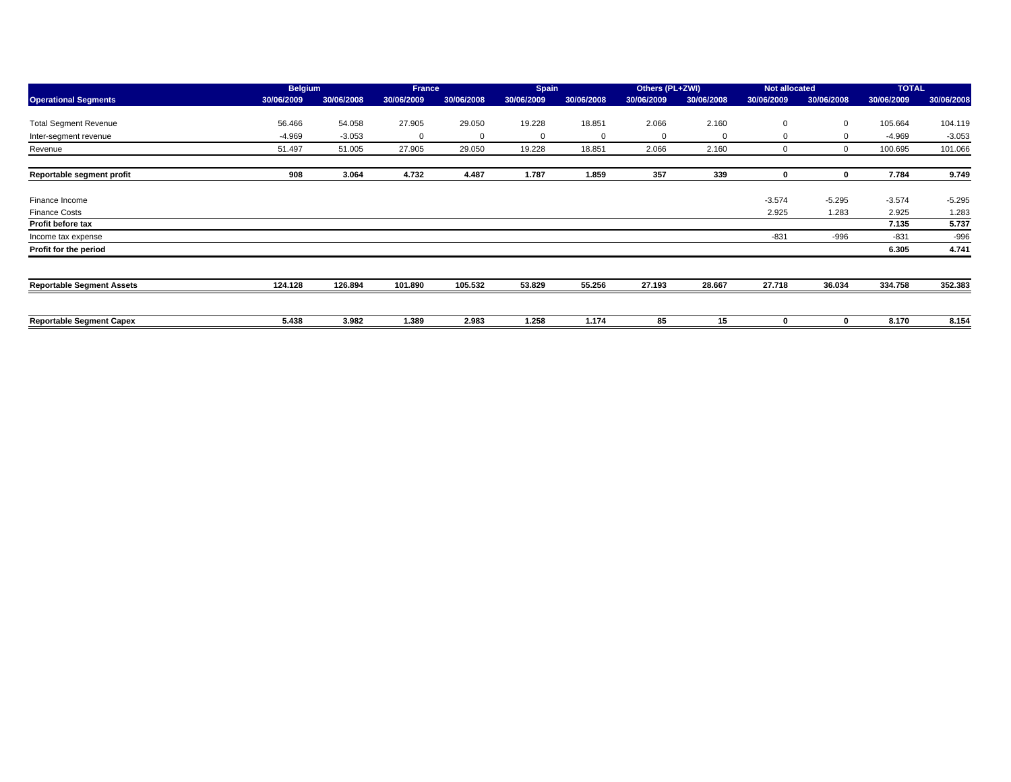| <b>Operational Segments</b>      | <b>Belgium</b> |            | <b>France</b> |            | <b>Spain</b> |              | Others (PL+ZWI) |            | <b>Not allocated</b> |             | <b>TOTAL</b> |            |
|----------------------------------|----------------|------------|---------------|------------|--------------|--------------|-----------------|------------|----------------------|-------------|--------------|------------|
|                                  | 30/06/2009     | 30/06/2008 | 30/06/2009    | 30/06/2008 | 30/06/2009   | 30/06/2008   | 30/06/2009      | 30/06/2008 | 30/06/2009           | 30/06/2008  | 30/06/2009   | 30/06/2008 |
|                                  |                |            |               |            |              |              |                 |            |                      |             |              |            |
| <b>Total Segment Revenue</b>     | 56.466         | 54.058     | 27.905        | 29.050     | 19.228       | 18.851       | 2.066           | 2.160      | $\mathbf 0$          | $\mathbf 0$ | 105.664      | 104.119    |
| Inter-segment revenue            | $-4.969$       | $-3.053$   | $\mathbf 0$   | 0          | $\Omega$     | $\mathbf{0}$ | 0               | $\Omega$   |                      | $\mathbf 0$ | $-4.969$     | $-3.053$   |
| Revenue                          | 51.497         | 51.005     | 27.905        | 29.050     | 19.228       | 18.851       | 2.066           | 2.160      | O                    | $\Omega$    | 100.695      | 101.066    |
| Reportable segment profit        | 908            | 3.064      | 4.732         | 4.487      | 1.787        | 1.859        | 357             | 339        | 0                    | $\bf{0}$    | 7.784        | 9.749      |
|                                  |                |            |               |            |              |              |                 |            |                      |             |              |            |
| Finance Income                   |                |            |               |            |              |              |                 |            | $-3.574$             | $-5.295$    | $-3.574$     | $-5.295$   |
| <b>Finance Costs</b>             |                |            |               |            |              |              |                 |            | 2.925                | 1.283       | 2.925        | 1.283      |
| Profit before tax                |                |            |               |            |              |              |                 |            |                      |             | 7.135        | 5.737      |
| Income tax expense               |                |            |               |            |              |              |                 |            | $-831$               | $-996$      | $-831$       | $-996$     |
| Profit for the period            |                |            |               |            |              |              |                 |            |                      |             | 6.305        | 4.741      |
|                                  |                |            |               |            |              |              |                 |            |                      |             |              |            |
| <b>Reportable Segment Assets</b> | 124.128        | 126.894    | 101.890       | 105.532    | 53.829       | 55.256       | 27.193          | 28.667     | 27.718               | 36.034      | 334.758      | 352.383    |
|                                  |                |            |               |            |              |              |                 |            |                      |             |              |            |
| <b>Reportable Segment Capex</b>  | 5.438          | 3.982      | 1.389         | 2.983      | 1.258        | 1.174        | 85              | 15         |                      | 0           | 8.170        | 8.154      |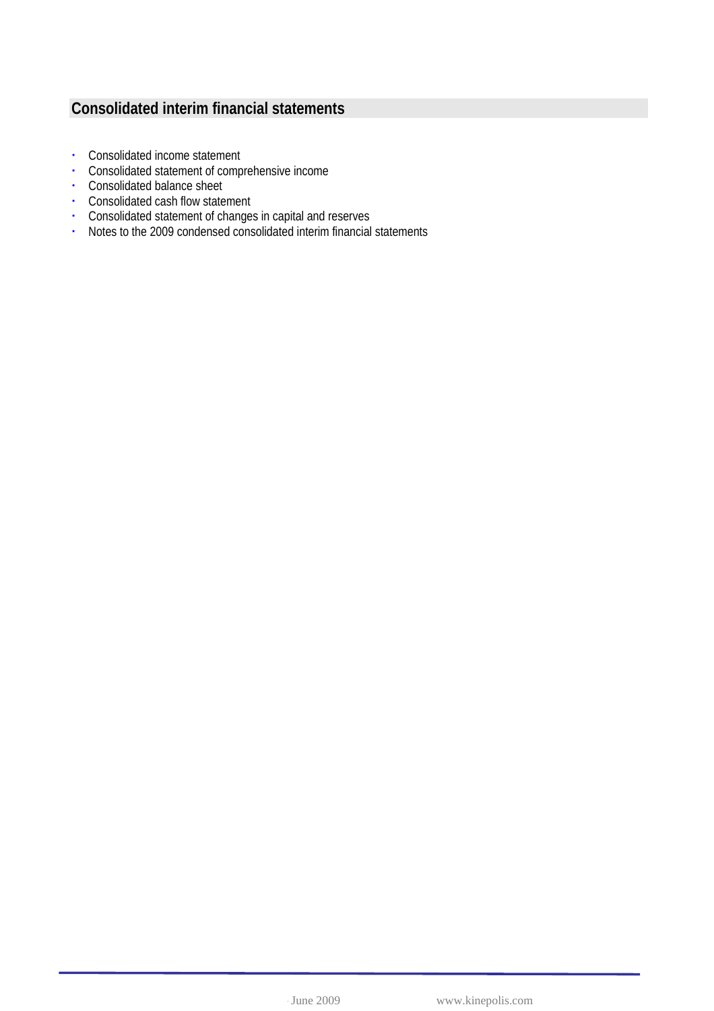## **Consolidated interim financial statements**

- Consolidated income statement
- Consolidated statement of comprehensive income
- Consolidated balance sheet
- Consolidated cash flow statement
- Consolidated statement of changes in capital and reserves
- Notes to the 2009 condensed consolidated interim financial statements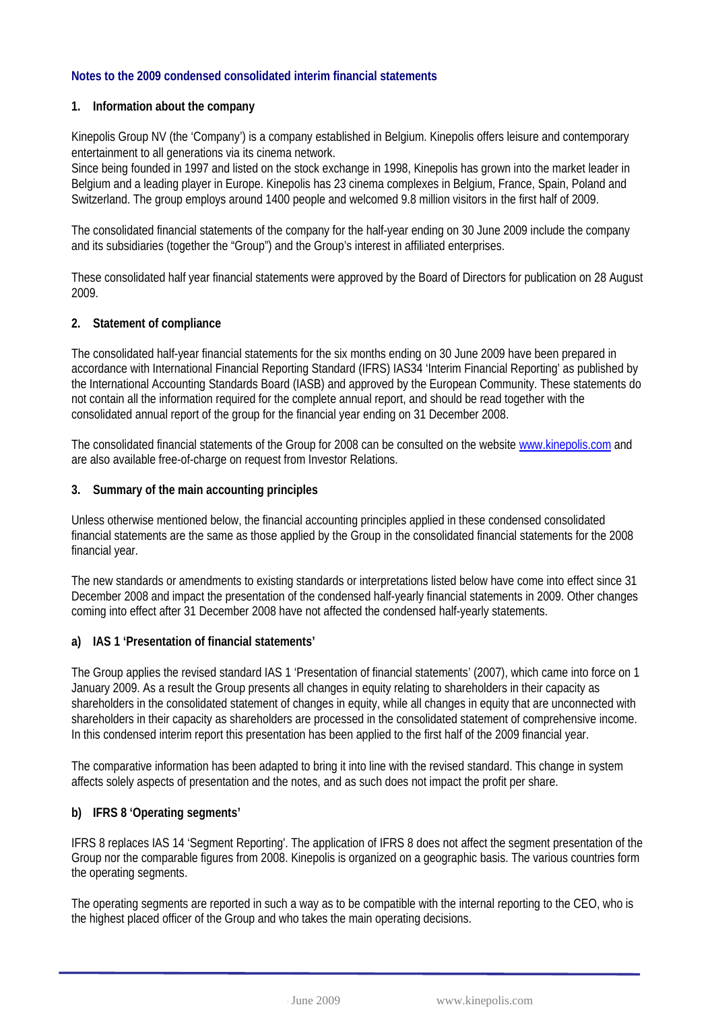#### **Notes to the 2009 condensed consolidated interim financial statements**

#### **1. Information about the company**

Kinepolis Group NV (the 'Company') is a company established in Belgium. Kinepolis offers leisure and contemporary entertainment to all generations via its cinema network.

Since being founded in 1997 and listed on the stock exchange in 1998, Kinepolis has grown into the market leader in Belgium and a leading player in Europe. Kinepolis has 23 cinema complexes in Belgium, France, Spain, Poland and Switzerland. The group employs around 1400 people and welcomed 9.8 million visitors in the first half of 2009.

The consolidated financial statements of the company for the half-year ending on 30 June 2009 include the company and its subsidiaries (together the "Group") and the Group's interest in affiliated enterprises.

These consolidated half year financial statements were approved by the Board of Directors for publication on 28 August 2009.

#### **2. Statement of compliance**

The consolidated half-year financial statements for the six months ending on 30 June 2009 have been prepared in accordance with International Financial Reporting Standard (IFRS) IAS34 'Interim Financial Reporting' as published by the International Accounting Standards Board (IASB) and approved by the European Community. These statements do not contain all the information required for the complete annual report, and should be read together with the consolidated annual report of the group for the financial year ending on 31 December 2008.

The consolidated financial statements of the Group for 2008 can be consulted on the website [www.kinepolis.com](http://www.kinepolis.com/) and are also available free-of-charge on request from Investor Relations.

#### **3. Summary of the main accounting principles**

Unless otherwise mentioned below, the financial accounting principles applied in these condensed consolidated financial statements are the same as those applied by the Group in the consolidated financial statements for the 2008 financial year.

The new standards or amendments to existing standards or interpretations listed below have come into effect since 31 December 2008 and impact the presentation of the condensed half-yearly financial statements in 2009. Other changes coming into effect after 31 December 2008 have not affected the condensed half-yearly statements.

#### **a) IAS 1 'Presentation of financial statements'**

The Group applies the revised standard IAS 1 'Presentation of financial statements' (2007), which came into force on 1 January 2009. As a result the Group presents all changes in equity relating to shareholders in their capacity as shareholders in the consolidated statement of changes in equity, while all changes in equity that are unconnected with shareholders in their capacity as shareholders are processed in the consolidated statement of comprehensive income. In this condensed interim report this presentation has been applied to the first half of the 2009 financial year.

The comparative information has been adapted to bring it into line with the revised standard. This change in system affects solely aspects of presentation and the notes, and as such does not impact the profit per share.

#### **b) IFRS 8 'Operating segments'**

IFRS 8 replaces IAS 14 'Segment Reporting'. The application of IFRS 8 does not affect the segment presentation of the Group nor the comparable figures from 2008. Kinepolis is organized on a geographic basis. The various countries form the operating segments.

The operating segments are reported in such a way as to be compatible with the internal reporting to the CEO, who is the highest placed officer of the Group and who takes the main operating decisions.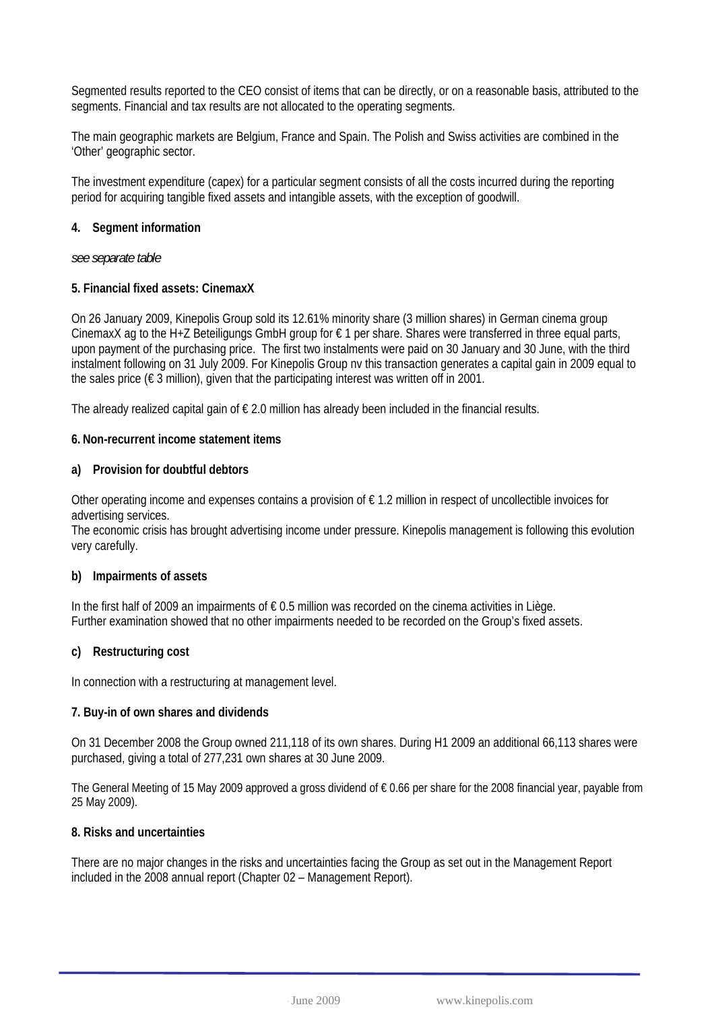Segmented results reported to the CEO consist of items that can be directly, or on a reasonable basis, attributed to the segments. Financial and tax results are not allocated to the operating segments.

The main geographic markets are Belgium, France and Spain. The Polish and Swiss activities are combined in the 'Other' geographic sector.

The investment expenditure (capex) for a particular segment consists of all the costs incurred during the reporting period for acquiring tangible fixed assets and intangible assets, with the exception of goodwill.

#### **4. Segment information**

*see separate table* 

#### **5. Financial fixed assets: CinemaxX**

On 26 January 2009, Kinepolis Group sold its 12.61% minority share (3 million shares) in German cinema group CinemaxX ag to the H+Z Beteiligungs GmbH group for € 1 per share. Shares were transferred in three equal parts, upon payment of the purchasing price. The first two instalments were paid on 30 January and 30 June, with the third instalment following on 31 July 2009. For Kinepolis Group nv this transaction generates a capital gain in 2009 equal to the sales price ( $\epsilon$  3 million), given that the participating interest was written off in 2001.

The already realized capital gain of  $\epsilon$  2.0 million has already been included in the financial results.

#### **6. Non-recurrent income statement items**

#### **a) Provision for doubtful debtors**

Other operating income and expenses contains a provision of  $\epsilon$  1.2 million in respect of uncollectible invoices for advertising services.

The economic crisis has brought advertising income under pressure. Kinepolis management is following this evolution very carefully.

#### **b) Impairments of assets**

In the first half of 2009 an impairments of € 0.5 million was recorded on the cinema activities in Liège. Further examination showed that no other impairments needed to be recorded on the Group's fixed assets.

#### **c) Restructuring cost**

In connection with a restructuring at management level.

#### **7. Buy-in of own shares and dividends**

On 31 December 2008 the Group owned 211,118 of its own shares. During H1 2009 an additional 66,113 shares were purchased, giving a total of 277,231 own shares at 30 June 2009.

The General Meeting of 15 May 2009 approved a gross dividend of € 0.66 per share for the 2008 financial year, payable from 25 May 2009).

#### **8. Risks and uncertainties**

There are no major changes in the risks and uncertainties facing the Group as set out in the Management Report included in the 2008 annual report (Chapter 02 – Management Report).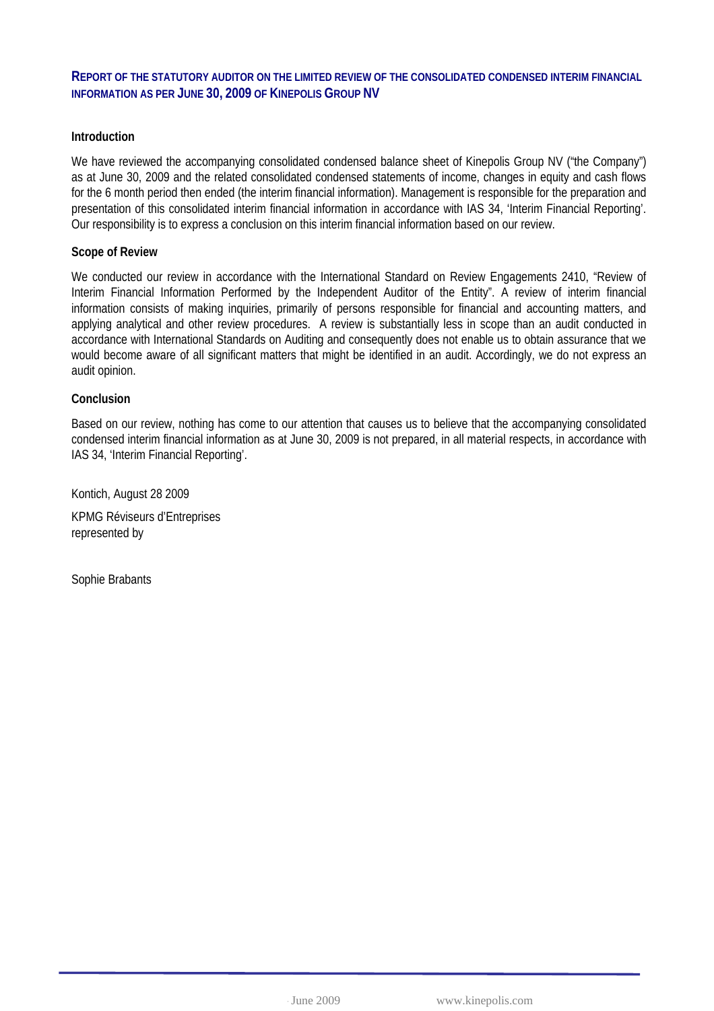#### **REPORT OF THE STATUTORY AUDITOR ON THE LIMITED REVIEW OF THE CONSOLIDATED CONDENSED INTERIM FINANCIAL INFORMATION AS PER JUNE 30, 2009 OF KINEPOLIS GROUP NV**

#### **Introduction**

We have reviewed the accompanying consolidated condensed balance sheet of Kinepolis Group NV ("the Company") as at June 30, 2009 and the related consolidated condensed statements of income, changes in equity and cash flows for the 6 month period then ended (the interim financial information). Management is responsible for the preparation and presentation of this consolidated interim financial information in accordance with IAS 34, 'Interim Financial Reporting'. Our responsibility is to express a conclusion on this interim financial information based on our review.

#### **Scope of Review**

We conducted our review in accordance with the International Standard on Review Engagements 2410, "Review of Interim Financial Information Performed by the Independent Auditor of the Entity". A review of interim financial information consists of making inquiries, primarily of persons responsible for financial and accounting matters, and applying analytical and other review procedures. A review is substantially less in scope than an audit conducted in accordance with International Standards on Auditing and consequently does not enable us to obtain assurance that we would become aware of all significant matters that might be identified in an audit. Accordingly, we do not express an audit opinion.

#### **Conclusion**

Based on our review, nothing has come to our attention that causes us to believe that the accompanying consolidated condensed interim financial information as at June 30, 2009 is not prepared, in all material respects, in accordance with IAS 34, 'Interim Financial Reporting'.

Kontich, August 28 2009 KPMG Réviseurs d'Entreprises represented by

Sophie Brabants